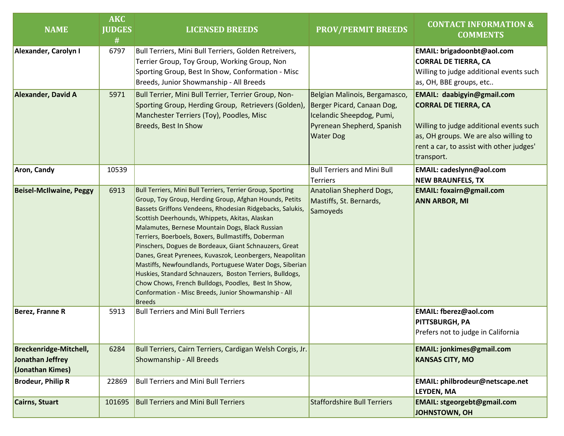| <b>NAME</b>                                                           | <b>AKC</b><br><b>JUDGES</b><br># | <b>LICENSED BREEDS</b>                                                                                                                                                                                                                                                                                                                                                                                                                                                                                                                                                                                                                                                                                                      | <b>PROV/PERMIT BREEDS</b>                                                                                                                  | <b>CONTACT INFORMATION &amp;</b><br><b>COMMENTS</b>                                                                                                                                                            |  |
|-----------------------------------------------------------------------|----------------------------------|-----------------------------------------------------------------------------------------------------------------------------------------------------------------------------------------------------------------------------------------------------------------------------------------------------------------------------------------------------------------------------------------------------------------------------------------------------------------------------------------------------------------------------------------------------------------------------------------------------------------------------------------------------------------------------------------------------------------------------|--------------------------------------------------------------------------------------------------------------------------------------------|----------------------------------------------------------------------------------------------------------------------------------------------------------------------------------------------------------------|--|
| Alexander, Carolyn I                                                  | 6797                             | Bull Terriers, Mini Bull Terriers, Golden Retreivers,<br>Terrier Group, Toy Group, Working Group, Non<br>Sporting Group, Best In Show, Conformation - Misc<br>Breeds, Junior Showmanship - All Breeds                                                                                                                                                                                                                                                                                                                                                                                                                                                                                                                       |                                                                                                                                            | EMAIL: brigadoonbt@aol.com<br><b>CORRAL DE TIERRA, CA</b><br>Willing to judge additional events such<br>as, OH, BBE groups, etc                                                                                |  |
| Alexander, David A                                                    | 5971                             | Bull Terrier, Mini Bull Terrier, Terrier Group, Non-<br>Sporting Group, Herding Group, Retrievers (Golden),<br>Manchester Terriers (Toy), Poodles, Misc<br>Breeds, Best In Show                                                                                                                                                                                                                                                                                                                                                                                                                                                                                                                                             | Belgian Malinois, Bergamasco,<br>Berger Picard, Canaan Dog,<br>Icelandic Sheepdog, Pumi,<br>Pyrenean Shepherd, Spanish<br><b>Water Dog</b> | <b>EMAIL: daabigyin@gmail.com</b><br><b>CORRAL DE TIERRA, CA</b><br>Willing to judge additional events such<br>as, OH groups. We are also willing to<br>rent a car, to assist with other judges'<br>transport. |  |
| <b>Aron, Candy</b>                                                    | 10539                            |                                                                                                                                                                                                                                                                                                                                                                                                                                                                                                                                                                                                                                                                                                                             | <b>Bull Terriers and Mini Bull</b><br><b>Terriers</b>                                                                                      | EMAIL: cadeslynn@aol.com<br><b>NEW BRAUNFELS, TX</b>                                                                                                                                                           |  |
| <b>Beisel-McIlwaine, Peggy</b>                                        | 6913                             | <b>Bull Terriers, Mini Bull Terriers, Terrier Group, Sporting</b><br>Group, Toy Group, Herding Group, Afghan Hounds, Petits<br>Bassets Griffons Vendeens, Rhodesian Ridgebacks, Salukis,<br>Scottish Deerhounds, Whippets, Akitas, Alaskan<br>Malamutes, Bernese Mountain Dogs, Black Russian<br>Terriers, Boerboels, Boxers, Bullmastiffs, Doberman<br>Pinschers, Dogues de Bordeaux, Giant Schnauzers, Great<br>Danes, Great Pyrenees, Kuvaszok, Leonbergers, Neapolitan<br>Mastiffs, Newfoundlands, Portuguese Water Dogs, Siberian<br>Huskies, Standard Schnauzers, Boston Terriers, Bulldogs,<br>Chow Chows, French Bulldogs, Poodles, Best In Show,<br>Conformation - Misc Breeds, Junior Showmanship - All<br>Breeds | Anatolian Shepherd Dogs,<br>Mastiffs, St. Bernards,<br>Samoyeds                                                                            | <b>EMAIL: foxairn@gmail.com</b><br><b>ANN ARBOR, MI</b>                                                                                                                                                        |  |
| Berez, Franne R                                                       | 5913                             | <b>Bull Terriers and Mini Bull Terriers</b>                                                                                                                                                                                                                                                                                                                                                                                                                                                                                                                                                                                                                                                                                 |                                                                                                                                            | <b>EMAIL: fberez@aol.com</b><br>PITTSBURGH, PA<br>Prefers not to judge in California                                                                                                                           |  |
| <b>Breckenridge-Mitchell,</b><br>Jonathan Jeffrey<br>(Jonathan Kimes) | 6284                             | Bull Terriers, Cairn Terriers, Cardigan Welsh Corgis, Jr.<br>Showmanship - All Breeds                                                                                                                                                                                                                                                                                                                                                                                                                                                                                                                                                                                                                                       |                                                                                                                                            | <b>EMAIL: jonkimes@gmail.com</b><br><b>KANSAS CITY, MO</b>                                                                                                                                                     |  |
| <b>Brodeur, Philip R</b>                                              | 22869                            | <b>Bull Terriers and Mini Bull Terriers</b>                                                                                                                                                                                                                                                                                                                                                                                                                                                                                                                                                                                                                                                                                 |                                                                                                                                            | EMAIL: philbrodeur@netscape.net<br><b>LEYDEN, MA</b>                                                                                                                                                           |  |
| Cairns, Stuart                                                        | 101695                           | <b>Bull Terriers and Mini Bull Terriers</b>                                                                                                                                                                                                                                                                                                                                                                                                                                                                                                                                                                                                                                                                                 | <b>Staffordshire Bull Terriers</b>                                                                                                         | <b>EMAIL: stgeorgebt@gmail.com</b><br><b>JOHNSTOWN, OH</b>                                                                                                                                                     |  |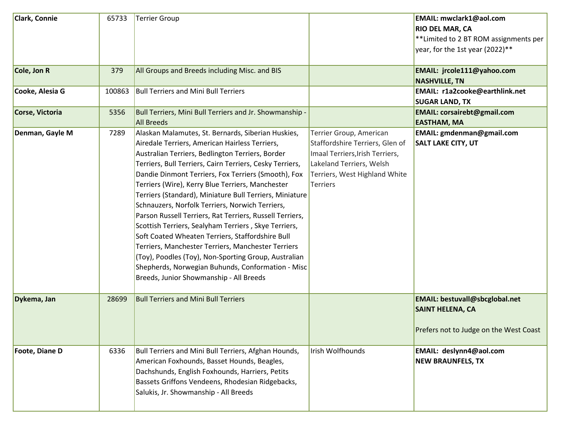| <b>Clark, Connie</b>  | 65733  | <b>Terrier Group</b>                                                                                                                                                                                                                                                                                                                                                                                                                                                                                                                                                                                                                                                                                                                                                                                                                |                                                                                                                                                                               | EMAIL: mwclark1@aol.com<br><b>RIO DEL MAR, CA</b><br>** Limited to 2 BT ROM assignments per<br>year, for the 1st year (2022)** |
|-----------------------|--------|-------------------------------------------------------------------------------------------------------------------------------------------------------------------------------------------------------------------------------------------------------------------------------------------------------------------------------------------------------------------------------------------------------------------------------------------------------------------------------------------------------------------------------------------------------------------------------------------------------------------------------------------------------------------------------------------------------------------------------------------------------------------------------------------------------------------------------------|-------------------------------------------------------------------------------------------------------------------------------------------------------------------------------|--------------------------------------------------------------------------------------------------------------------------------|
| Cole, Jon R           | 379    | All Groups and Breeds including Misc. and BIS                                                                                                                                                                                                                                                                                                                                                                                                                                                                                                                                                                                                                                                                                                                                                                                       |                                                                                                                                                                               | EMAIL: jrcole111@yahoo.com<br><b>NASHVILLE, TN</b>                                                                             |
| Cooke, Alesia G       | 100863 | <b>Bull Terriers and Mini Bull Terriers</b>                                                                                                                                                                                                                                                                                                                                                                                                                                                                                                                                                                                                                                                                                                                                                                                         |                                                                                                                                                                               | <b>EMAIL: r1a2cooke@earthlink.net</b><br><b>SUGAR LAND, TX</b>                                                                 |
| Corse, Victoria       | 5356   | Bull Terriers, Mini Bull Terriers and Jr. Showmanship -<br><b>All Breeds</b>                                                                                                                                                                                                                                                                                                                                                                                                                                                                                                                                                                                                                                                                                                                                                        |                                                                                                                                                                               | <b>EMAIL: corsairebt@gmail.com</b><br><b>EASTHAM, MA</b>                                                                       |
| Denman, Gayle M       | 7289   | Alaskan Malamutes, St. Bernards, Siberian Huskies,<br>Airedale Terriers, American Hairless Terriers,<br>Australian Terriers, Bedlington Terriers, Border<br>Terriers, Bull Terriers, Cairn Terriers, Cesky Terriers,<br>Dandie Dinmont Terriers, Fox Terriers (Smooth), Fox<br>Terriers (Wire), Kerry Blue Terriers, Manchester<br>Terriers (Standard), Miniature Bull Terriers, Miniature<br>Schnauzers, Norfolk Terriers, Norwich Terriers,<br>Parson Russell Terriers, Rat Terriers, Russell Terriers,<br>Scottish Terriers, Sealyham Terriers, Skye Terriers,<br>Soft Coated Wheaten Terriers, Staffordshire Bull<br>Terriers, Manchester Terriers, Manchester Terriers<br>(Toy), Poodles (Toy), Non-Sporting Group, Australian<br>Shepherds, Norwegian Buhunds, Conformation - Misc<br>Breeds, Junior Showmanship - All Breeds | Terrier Group, American<br>Staffordshire Terriers, Glen of<br>Imaal Terriers, Irish Terriers,<br>Lakeland Terriers, Welsh<br>Terriers, West Highland White<br><b>Terriers</b> | EMAIL: gmdenman@gmail.com<br><b>SALT LAKE CITY, UT</b>                                                                         |
| Dykema, Jan           | 28699  | <b>Bull Terriers and Mini Bull Terriers</b>                                                                                                                                                                                                                                                                                                                                                                                                                                                                                                                                                                                                                                                                                                                                                                                         |                                                                                                                                                                               | <b>EMAIL: bestuvall@sbcglobal.net</b><br><b>SAINT HELENA, CA</b><br>Prefers not to Judge on the West Coast                     |
| <b>Foote, Diane D</b> | 6336   | Bull Terriers and Mini Bull Terriers, Afghan Hounds,<br>American Foxhounds, Basset Hounds, Beagles,<br>Dachshunds, English Foxhounds, Harriers, Petits<br>Bassets Griffons Vendeens, Rhodesian Ridgebacks,<br>Salukis, Jr. Showmanship - All Breeds                                                                                                                                                                                                                                                                                                                                                                                                                                                                                                                                                                                 | Irish Wolfhounds                                                                                                                                                              | EMAIL: deslynn4@aol.com<br><b>NEW BRAUNFELS, TX</b>                                                                            |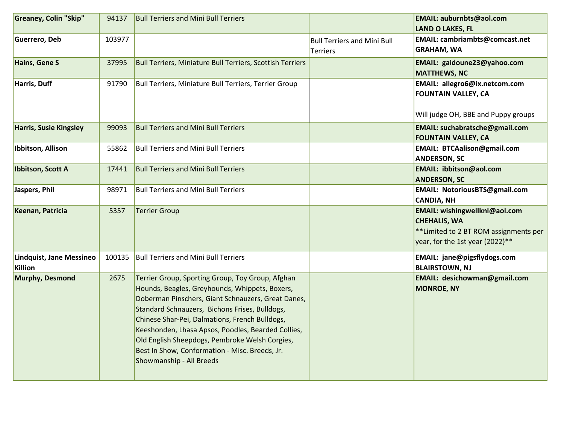| Greaney, Colin "Skip"               | 94137  | <b>Bull Terriers and Mini Bull Terriers</b>                                                                                                                                                                                                                                                                                                                                                                                                        |                                                | EMAIL: auburnbts@aol.com<br><b>LAND O LAKES, FL</b>                                                                               |
|-------------------------------------|--------|----------------------------------------------------------------------------------------------------------------------------------------------------------------------------------------------------------------------------------------------------------------------------------------------------------------------------------------------------------------------------------------------------------------------------------------------------|------------------------------------------------|-----------------------------------------------------------------------------------------------------------------------------------|
| Guerrero, Deb                       | 103977 |                                                                                                                                                                                                                                                                                                                                                                                                                                                    | <b>Bull Terriers and Mini Bull</b><br>Terriers | EMAIL: cambriambts@comcast.net<br><b>GRAHAM, WA</b>                                                                               |
| Hains, Gene S                       | 37995  | <b>Bull Terriers, Miniature Bull Terriers, Scottish Terriers</b>                                                                                                                                                                                                                                                                                                                                                                                   |                                                | EMAIL: gaidoune23@yahoo.com<br><b>MATTHEWS, NC</b>                                                                                |
| Harris, Duff                        | 91790  | <b>Bull Terriers, Miniature Bull Terriers, Terrier Group</b>                                                                                                                                                                                                                                                                                                                                                                                       |                                                | EMAIL: allegro6@ix.netcom.com<br><b>FOUNTAIN VALLEY, CA</b><br>Will judge OH, BBE and Puppy groups                                |
| <b>Harris, Susie Kingsley</b>       | 99093  | <b>Bull Terriers and Mini Bull Terriers</b>                                                                                                                                                                                                                                                                                                                                                                                                        |                                                | EMAIL: suchabratsche@gmail.com<br><b>FOUNTAIN VALLEY, CA</b>                                                                      |
| Ibbitson, Allison                   | 55862  | <b>Bull Terriers and Mini Bull Terriers</b>                                                                                                                                                                                                                                                                                                                                                                                                        |                                                | <b>EMAIL: BTCAalison@gmail.com</b><br><b>ANDERSON, SC</b>                                                                         |
| Ibbitson, Scott A                   | 17441  | <b>Bull Terriers and Mini Bull Terriers</b>                                                                                                                                                                                                                                                                                                                                                                                                        |                                                | EMAIL: ibbitson@aol.com<br><b>ANDERSON, SC</b>                                                                                    |
| Jaspers, Phil                       | 98971  | <b>Bull Terriers and Mini Bull Terriers</b>                                                                                                                                                                                                                                                                                                                                                                                                        |                                                | EMAIL: NotoriousBTS@gmail.com<br><b>CANDIA, NH</b>                                                                                |
| Keenan, Patricia                    | 5357   | <b>Terrier Group</b>                                                                                                                                                                                                                                                                                                                                                                                                                               |                                                | EMAIL: wishingwellknl@aol.com<br><b>CHEHALIS, WA</b><br>** Limited to 2 BT ROM assignments per<br>year, for the 1st year (2022)** |
| Lindquist, Jane Messineo<br>Killion | 100135 | <b>Bull Terriers and Mini Bull Terriers</b>                                                                                                                                                                                                                                                                                                                                                                                                        |                                                | EMAIL: jane@pigsflydogs.com<br><b>BLAIRSTOWN, NJ</b>                                                                              |
| Murphy, Desmond                     | 2675   | Terrier Group, Sporting Group, Toy Group, Afghan<br>Hounds, Beagles, Greyhounds, Whippets, Boxers,<br>Doberman Pinschers, Giant Schnauzers, Great Danes,<br>Standard Schnauzers, Bichons Frises, Bulldogs,<br>Chinese Shar-Pei, Dalmations, French Bulldogs,<br>Keeshonden, Lhasa Apsos, Poodles, Bearded Collies,<br>Old English Sheepdogs, Pembroke Welsh Corgies,<br>Best In Show, Conformation - Misc. Breeds, Jr.<br>Showmanship - All Breeds |                                                | EMAIL: desichowman@gmail.com<br><b>MONROE, NY</b>                                                                                 |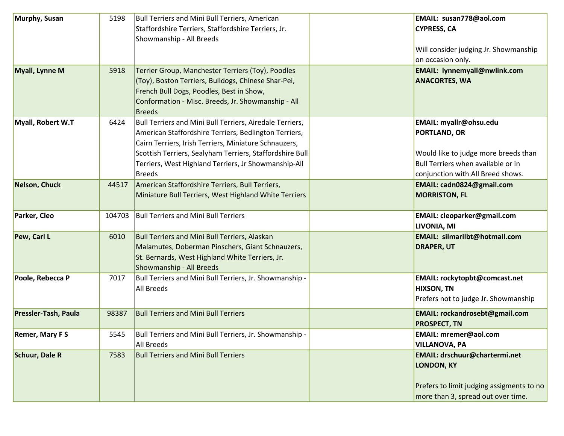| Murphy, Susan         | 5198   | <b>Bull Terriers and Mini Bull Terriers, American</b><br>Staffordshire Terriers, Staffordshire Terriers, Jr.                                                                                                                                                                                                    | EMAIL: susan778@aol.com<br><b>CYPRESS, CA</b>                                                                                                                    |
|-----------------------|--------|-----------------------------------------------------------------------------------------------------------------------------------------------------------------------------------------------------------------------------------------------------------------------------------------------------------------|------------------------------------------------------------------------------------------------------------------------------------------------------------------|
|                       |        | Showmanship - All Breeds                                                                                                                                                                                                                                                                                        | Will consider judging Jr. Showmanship<br>on occasion only.                                                                                                       |
| Myall, Lynne M        | 5918   | Terrier Group, Manchester Terriers (Toy), Poodles<br>(Toy), Boston Terriers, Bulldogs, Chinese Shar-Pei,<br>French Bull Dogs, Poodles, Best in Show,<br>Conformation - Misc. Breeds, Jr. Showmanship - All<br><b>Breeds</b>                                                                                     | <b>EMAIL: lynnemyall@nwlink.com</b><br><b>ANACORTES, WA</b>                                                                                                      |
| Myall, Robert W.T     | 6424   | Bull Terriers and Mini Bull Terriers, Airedale Terriers,<br>American Staffordshire Terriers, Bedlington Terriers,<br>Cairn Terriers, Irish Terriers, Miniature Schnauzers,<br>Scottish Terriers, Sealyham Terriers, Staffordshire Bull<br>Terriers, West Highland Terriers, Jr Showmanship-All<br><b>Breeds</b> | EMAIL: myallr@ohsu.edu<br><b>PORTLAND, OR</b><br>Would like to judge more breeds than<br>Bull Terriers when available or in<br>conjunction with All Breed shows. |
| Nelson, Chuck         | 44517  | American Staffordshire Terriers, Bull Terriers,<br>Miniature Bull Terriers, West Highland White Terriers                                                                                                                                                                                                        | EMAIL: cadn0824@gmail.com<br><b>MORRISTON, FL</b>                                                                                                                |
| Parker, Cleo          | 104703 | <b>Bull Terriers and Mini Bull Terriers</b>                                                                                                                                                                                                                                                                     | <b>EMAIL: cleoparker@gmail.com</b><br>LIVONIA, MI                                                                                                                |
| Pew, Carl L           | 6010   | <b>Bull Terriers and Mini Bull Terriers, Alaskan</b><br>Malamutes, Doberman Pinschers, Giant Schnauzers,<br>St. Bernards, West Highland White Terriers, Jr.<br>Showmanship - All Breeds                                                                                                                         | <b>EMAIL: silmarilbt@hotmail.com</b><br><b>DRAPER, UT</b>                                                                                                        |
| Poole, Rebecca P      | 7017   | Bull Terriers and Mini Bull Terriers, Jr. Showmanship -<br><b>All Breeds</b>                                                                                                                                                                                                                                    | <b>EMAIL: rockytopbt@comcast.net</b><br><b>HIXSON, TN</b><br>Prefers not to judge Jr. Showmanship                                                                |
| Pressler-Tash, Paula  | 98387  | <b>Bull Terriers and Mini Bull Terriers</b>                                                                                                                                                                                                                                                                     | EMAIL: rockandrosebt@gmail.com<br><b>PROSPECT, TN</b>                                                                                                            |
| <b>Remer, Mary FS</b> | 5545   | Bull Terriers and Mini Bull Terriers, Jr. Showmanship -<br><b>All Breeds</b>                                                                                                                                                                                                                                    | <b>EMAIL: mremer@aol.com</b><br><b>VILLANOVA, PA</b>                                                                                                             |
| <b>Schuur, Dale R</b> | 7583   | <b>Bull Terriers and Mini Bull Terriers</b>                                                                                                                                                                                                                                                                     | <b>EMAIL: drschuur@chartermi.net</b><br><b>LONDON, KY</b><br>Prefers to limit judging assigments to no<br>more than 3, spread out over time.                     |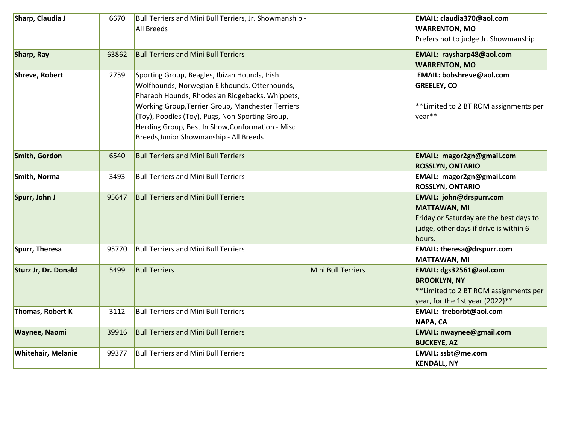| Sharp, Claudia J                                                                                                                                                                                                                                                                                                                                                                          | 6670  | Bull Terriers and Mini Bull Terriers, Jr. Showmanship -<br><b>All Breeds</b>                       |                                                                                                                                                  | EMAIL: claudia370@aol.com<br><b>WARRENTON, MO</b><br>Prefers not to judge Jr. Showmanship                                                            |
|-------------------------------------------------------------------------------------------------------------------------------------------------------------------------------------------------------------------------------------------------------------------------------------------------------------------------------------------------------------------------------------------|-------|----------------------------------------------------------------------------------------------------|--------------------------------------------------------------------------------------------------------------------------------------------------|------------------------------------------------------------------------------------------------------------------------------------------------------|
| Sharp, Ray                                                                                                                                                                                                                                                                                                                                                                                | 63862 | <b>Bull Terriers and Mini Bull Terriers</b>                                                        |                                                                                                                                                  | EMAIL: raysharp48@aol.com<br><b>WARRENTON, MO</b>                                                                                                    |
| <b>Shreve, Robert</b><br>2759<br>Sporting Group, Beagles, Ibizan Hounds, Irish<br>Wolfhounds, Norwegian Elkhounds, Otterhounds,<br>Pharaoh Hounds, Rhodesian Ridgebacks, Whippets,<br>Working Group, Terrier Group, Manchester Terriers<br>(Toy), Poodles (Toy), Pugs, Non-Sporting Group,<br>Herding Group, Best In Show, Conformation - Misc<br>Breeds, Junior Showmanship - All Breeds |       | EMAIL: bobshreve@aol.com<br><b>GREELEY, CO</b><br>** Limited to 2 BT ROM assignments per<br>year** |                                                                                                                                                  |                                                                                                                                                      |
| Smith, Gordon                                                                                                                                                                                                                                                                                                                                                                             | 6540  | <b>Bull Terriers and Mini Bull Terriers</b>                                                        |                                                                                                                                                  | <b>EMAIL: magor2gn@gmail.com</b><br><b>ROSSLYN, ONTARIO</b>                                                                                          |
| Smith, Norma                                                                                                                                                                                                                                                                                                                                                                              | 3493  | <b>Bull Terriers and Mini Bull Terriers</b>                                                        |                                                                                                                                                  | EMAIL: magor2gn@gmail.com<br><b>ROSSLYN, ONTARIO</b>                                                                                                 |
| Spurr, John J                                                                                                                                                                                                                                                                                                                                                                             | 95647 | <b>Bull Terriers and Mini Bull Terriers</b>                                                        |                                                                                                                                                  | <b>EMAIL: john@drspurr.com</b><br><b>MATTAWAN, MI</b><br>Friday or Saturday are the best days to<br>judge, other days if drive is within 6<br>hours. |
| Spurr, Theresa                                                                                                                                                                                                                                                                                                                                                                            | 95770 | <b>Bull Terriers and Mini Bull Terriers</b>                                                        |                                                                                                                                                  | EMAIL: theresa@drspurr.com<br><b>MATTAWAN, MI</b>                                                                                                    |
| Sturz Jr, Dr. Donald                                                                                                                                                                                                                                                                                                                                                                      | 5499  | <b>Bull Terriers</b>                                                                               | Mini Bull Terriers<br>EMAIL: dgs32561@aol.com<br><b>BROOKLYN, NY</b><br>**Limited to 2 BT ROM assignments per<br>year, for the 1st year (2022)** |                                                                                                                                                      |
| Thomas, Robert K                                                                                                                                                                                                                                                                                                                                                                          | 3112  | <b>Bull Terriers and Mini Bull Terriers</b>                                                        |                                                                                                                                                  | EMAIL: treborbt@aol.com<br>NAPA, CA                                                                                                                  |
| Waynee, Naomi                                                                                                                                                                                                                                                                                                                                                                             | 39916 | <b>Bull Terriers and Mini Bull Terriers</b>                                                        |                                                                                                                                                  | <b>EMAIL: nwaynee@gmail.com</b><br><b>BUCKEYE, AZ</b>                                                                                                |
| <b>Whitehair, Melanie</b>                                                                                                                                                                                                                                                                                                                                                                 | 99377 | <b>Bull Terriers and Mini Bull Terriers</b>                                                        |                                                                                                                                                  | EMAIL: ssbt@me.com<br><b>KENDALL, NY</b>                                                                                                             |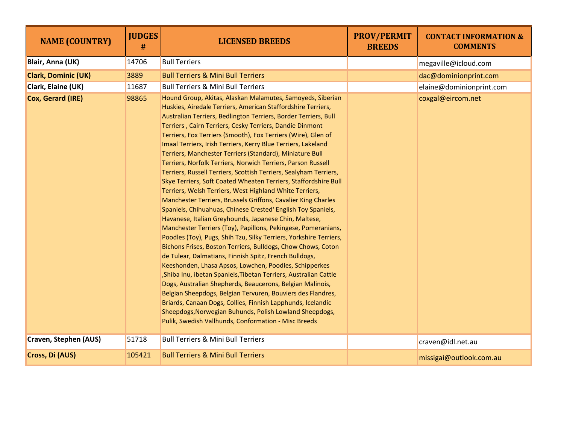| <b>NAME (COUNTRY)</b>      | <b>JUDGES</b><br># | <b>LICENSED BREEDS</b>                                                                                                                                                                                                                                                                                                                                                                                                                                                                                                                                                                                                                                                                                                                                                                                                                                                                                                                                                                                                                                                                                                                                                                                                                                                                                                                                                                                                                                                                                                                                                                                                           | <b>PROV/PERMIT</b><br><b>BREEDS</b> | <b>CONTACT INFORMATION &amp;</b><br><b>COMMENTS</b> |
|----------------------------|--------------------|----------------------------------------------------------------------------------------------------------------------------------------------------------------------------------------------------------------------------------------------------------------------------------------------------------------------------------------------------------------------------------------------------------------------------------------------------------------------------------------------------------------------------------------------------------------------------------------------------------------------------------------------------------------------------------------------------------------------------------------------------------------------------------------------------------------------------------------------------------------------------------------------------------------------------------------------------------------------------------------------------------------------------------------------------------------------------------------------------------------------------------------------------------------------------------------------------------------------------------------------------------------------------------------------------------------------------------------------------------------------------------------------------------------------------------------------------------------------------------------------------------------------------------------------------------------------------------------------------------------------------------|-------------------------------------|-----------------------------------------------------|
| Blair, Anna (UK)           | 14706              | <b>Bull Terriers</b>                                                                                                                                                                                                                                                                                                                                                                                                                                                                                                                                                                                                                                                                                                                                                                                                                                                                                                                                                                                                                                                                                                                                                                                                                                                                                                                                                                                                                                                                                                                                                                                                             |                                     | megaville@icloud.com                                |
| <b>Clark, Dominic (UK)</b> | 3889               | <b>Bull Terriers &amp; Mini Bull Terriers</b>                                                                                                                                                                                                                                                                                                                                                                                                                                                                                                                                                                                                                                                                                                                                                                                                                                                                                                                                                                                                                                                                                                                                                                                                                                                                                                                                                                                                                                                                                                                                                                                    |                                     | dac@dominionprint.com                               |
| Clark, Elaine (UK)         | 11687              | <b>Bull Terriers &amp; Mini Bull Terriers</b>                                                                                                                                                                                                                                                                                                                                                                                                                                                                                                                                                                                                                                                                                                                                                                                                                                                                                                                                                                                                                                                                                                                                                                                                                                                                                                                                                                                                                                                                                                                                                                                    |                                     | elaine@dominionprint.com                            |
| Cox, Gerard (IRE)          | 98865              | Hound Group, Akitas, Alaskan Malamutes, Samoyeds, Siberian<br>Huskies, Airedale Terriers, American Staffordshire Terriers,<br>Australian Terriers, Bedlington Terriers, Border Terriers, Bull<br>Terriers, Cairn Terriers, Cesky Terriers, Dandie Dinmont<br>Terriers, Fox Terriers (Smooth), Fox Terriers (Wire), Glen of<br>Imaal Terriers, Irish Terriers, Kerry Blue Terriers, Lakeland<br>Terriers, Manchester Terriers (Standard), Miniature Bull<br>Terriers, Norfolk Terriers, Norwich Terriers, Parson Russell<br>Terriers, Russell Terriers, Scottish Terriers, Sealyham Terriers,<br>Skye Terriers, Soft Coated Wheaten Terriers, Staffordshire Bull<br>Terriers, Welsh Terriers, West Highland White Terriers,<br>Manchester Terriers, Brussels Griffons, Cavalier King Charles<br>Spaniels, Chihuahuas, Chinese Crested' English Toy Spaniels,<br>Havanese, Italian Greyhounds, Japanese Chin, Maltese,<br>Manchester Terriers (Toy), Papillons, Pekingese, Pomeranians,<br>Poodles (Toy), Pugs, Shih Tzu, Silky Terriers, Yorkshire Terriers,<br>Bichons Frises, Boston Terriers, Bulldogs, Chow Chows, Coton<br>de Tulear, Dalmatians, Finnish Spitz, French Bulldogs,<br>Keeshonden, Lhasa Apsos, Lowchen, Poodles, Schipperkes<br>Shiba Inu, ibetan Spaniels, Tibetan Terriers, Australian Cattle<br>Dogs, Australian Shepherds, Beaucerons, Belgian Malinois,<br>Belgian Sheepdogs, Belgian Tervuren, Bouviers des Flandres,<br>Briards, Canaan Dogs, Collies, Finnish Lapphunds, Icelandic<br>Sheepdogs, Norwegian Buhunds, Polish Lowland Sheepdogs,<br>Pulik, Swedish Vallhunds, Conformation - Misc Breeds |                                     | coxgal@eircom.net                                   |
| Craven, Stephen (AUS)      | 51718              | <b>Bull Terriers &amp; Mini Bull Terriers</b>                                                                                                                                                                                                                                                                                                                                                                                                                                                                                                                                                                                                                                                                                                                                                                                                                                                                                                                                                                                                                                                                                                                                                                                                                                                                                                                                                                                                                                                                                                                                                                                    |                                     | craven@idl.net.au                                   |
| Cross, Di (AUS)            | 105421             | <b>Bull Terriers &amp; Mini Bull Terriers</b>                                                                                                                                                                                                                                                                                                                                                                                                                                                                                                                                                                                                                                                                                                                                                                                                                                                                                                                                                                                                                                                                                                                                                                                                                                                                                                                                                                                                                                                                                                                                                                                    |                                     | missigai@outlook.com.au                             |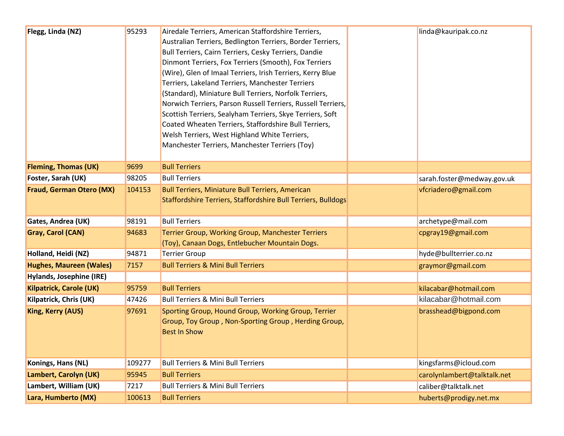| Flegg, Linda (NZ)               | 95293  | Airedale Terriers, American Staffordshire Terriers,<br>Australian Terriers, Bedlington Terriers, Border Terriers,<br>Bull Terriers, Cairn Terriers, Cesky Terriers, Dandie<br>Dinmont Terriers, Fox Terriers (Smooth), Fox Terriers<br>(Wire), Glen of Imaal Terriers, Irish Terriers, Kerry Blue<br>Terriers, Lakeland Terriers, Manchester Terriers<br>(Standard), Miniature Bull Terriers, Norfolk Terriers,<br>Norwich Terriers, Parson Russell Terriers, Russell Terriers,<br>Scottish Terriers, Sealyham Terriers, Skye Terriers, Soft<br>Coated Wheaten Terriers, Staffordshire Bull Terriers,<br>Welsh Terriers, West Highland White Terriers,<br>Manchester Terriers, Manchester Terriers (Toy) | linda@kauripak.co.nz        |  |  |
|---------------------------------|--------|----------------------------------------------------------------------------------------------------------------------------------------------------------------------------------------------------------------------------------------------------------------------------------------------------------------------------------------------------------------------------------------------------------------------------------------------------------------------------------------------------------------------------------------------------------------------------------------------------------------------------------------------------------------------------------------------------------|-----------------------------|--|--|
| <b>Fleming, Thomas (UK)</b>     | 9699   | <b>Bull Terriers</b>                                                                                                                                                                                                                                                                                                                                                                                                                                                                                                                                                                                                                                                                                     |                             |  |  |
| Foster, Sarah (UK)              | 98205  | <b>Bull Terriers</b>                                                                                                                                                                                                                                                                                                                                                                                                                                                                                                                                                                                                                                                                                     | sarah.foster@medway.gov.uk  |  |  |
| <b>Fraud, German Otero (MX)</b> | 104153 | <b>Bull Terriers, Miniature Bull Terriers, American</b><br>Staffordshire Terriers, Staffordshire Bull Terriers, Bulldogs                                                                                                                                                                                                                                                                                                                                                                                                                                                                                                                                                                                 | vfcriadero@gmail.com        |  |  |
| Gates, Andrea (UK)              | 98191  | <b>Bull Terriers</b>                                                                                                                                                                                                                                                                                                                                                                                                                                                                                                                                                                                                                                                                                     | archetype@mail.com          |  |  |
| <b>Gray, Carol (CAN)</b>        | 94683  | <b>Terrier Group, Working Group, Manchester Terriers</b><br>(Toy), Canaan Dogs, Entlebucher Mountain Dogs.                                                                                                                                                                                                                                                                                                                                                                                                                                                                                                                                                                                               | cpgray19@gmail.com          |  |  |
| Holland, Heidi (NZ)             | 94871  | <b>Terrier Group</b>                                                                                                                                                                                                                                                                                                                                                                                                                                                                                                                                                                                                                                                                                     | hyde@bullterrier.co.nz      |  |  |
| <b>Hughes, Maureen (Wales)</b>  | 7157   | <b>Bull Terriers &amp; Mini Bull Terriers</b>                                                                                                                                                                                                                                                                                                                                                                                                                                                                                                                                                                                                                                                            | graymor@gmail.com           |  |  |
| Hylands, Josephine (IRE)        |        |                                                                                                                                                                                                                                                                                                                                                                                                                                                                                                                                                                                                                                                                                                          |                             |  |  |
| <b>Kilpatrick, Carole (UK)</b>  | 95759  | <b>Bull Terriers</b>                                                                                                                                                                                                                                                                                                                                                                                                                                                                                                                                                                                                                                                                                     | kilacabar@hotmail.com       |  |  |
| Kilpatrick, Chris (UK)          | 47426  | <b>Bull Terriers &amp; Mini Bull Terriers</b>                                                                                                                                                                                                                                                                                                                                                                                                                                                                                                                                                                                                                                                            | kilacabar@hotmail.com       |  |  |
| <b>King, Kerry (AUS)</b>        | 97691  | Sporting Group, Hound Group, Working Group, Terrier<br>Group, Toy Group, Non-Sporting Group, Herding Group,<br><b>Best In Show</b>                                                                                                                                                                                                                                                                                                                                                                                                                                                                                                                                                                       | brasshead@bigpond.com       |  |  |
| Konings, Hans (NL)              | 109277 | <b>Bull Terriers &amp; Mini Bull Terriers</b>                                                                                                                                                                                                                                                                                                                                                                                                                                                                                                                                                                                                                                                            | kingsfarms@icloud.com       |  |  |
| Lambert, Carolyn (UK)           | 95945  | <b>Bull Terriers</b>                                                                                                                                                                                                                                                                                                                                                                                                                                                                                                                                                                                                                                                                                     | carolynlambert@talktalk.net |  |  |
| Lambert, William (UK)           | 7217   | <b>Bull Terriers &amp; Mini Bull Terriers</b>                                                                                                                                                                                                                                                                                                                                                                                                                                                                                                                                                                                                                                                            | caliber@talktalk.net        |  |  |
| Lara, Humberto (MX)             | 100613 | <b>Bull Terriers</b>                                                                                                                                                                                                                                                                                                                                                                                                                                                                                                                                                                                                                                                                                     | huberts@prodigy.net.mx      |  |  |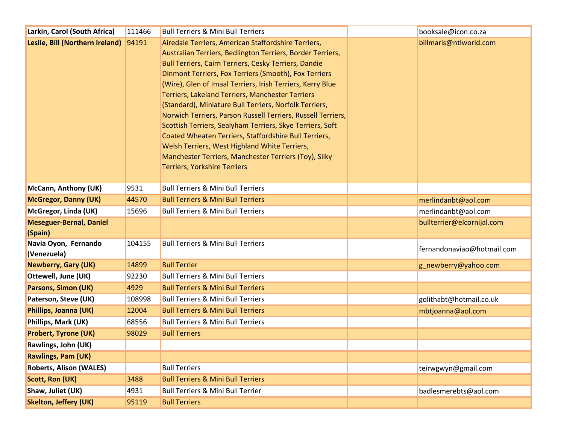| Larkin, Carol (South Africa)              | 111466 | <b>Bull Terriers &amp; Mini Bull Terriers</b>                                                                                                                                                                                                                                                                                                                                                                                                                                                                                                                                                                                                                                                                                                                        | booksale@icon.co.za        |  |
|-------------------------------------------|--------|----------------------------------------------------------------------------------------------------------------------------------------------------------------------------------------------------------------------------------------------------------------------------------------------------------------------------------------------------------------------------------------------------------------------------------------------------------------------------------------------------------------------------------------------------------------------------------------------------------------------------------------------------------------------------------------------------------------------------------------------------------------------|----------------------------|--|
| Leslie, Bill (Northern Ireland) 94191     |        | Airedale Terriers, American Staffordshire Terriers,<br>Australian Terriers, Bedlington Terriers, Border Terriers,<br><b>Bull Terriers, Cairn Terriers, Cesky Terriers, Dandie</b><br>Dinmont Terriers, Fox Terriers (Smooth), Fox Terriers<br>(Wire), Glen of Imaal Terriers, Irish Terriers, Kerry Blue<br><b>Terriers, Lakeland Terriers, Manchester Terriers</b><br>(Standard), Miniature Bull Terriers, Norfolk Terriers,<br>Norwich Terriers, Parson Russell Terriers, Russell Terriers,<br>Scottish Terriers, Sealyham Terriers, Skye Terriers, Soft<br>Coated Wheaten Terriers, Staffordshire Bull Terriers,<br>Welsh Terriers, West Highland White Terriers,<br>Manchester Terriers, Manchester Terriers (Toy), Silky<br><b>Terriers, Yorkshire Terriers</b> | billmaris@ntlworld.com     |  |
| <b>McCann, Anthony (UK)</b>               | 9531   | <b>Bull Terriers &amp; Mini Bull Terriers</b>                                                                                                                                                                                                                                                                                                                                                                                                                                                                                                                                                                                                                                                                                                                        |                            |  |
| <b>McGregor, Danny (UK)</b>               | 44570  | <b>Bull Terriers &amp; Mini Bull Terriers</b>                                                                                                                                                                                                                                                                                                                                                                                                                                                                                                                                                                                                                                                                                                                        | merlindanbt@aol.com        |  |
| McGregor, Linda (UK)                      | 15696  | <b>Bull Terriers &amp; Mini Bull Terriers</b>                                                                                                                                                                                                                                                                                                                                                                                                                                                                                                                                                                                                                                                                                                                        | merlindanbt@aol.com        |  |
| <b>Meseguer-Bernal, Daniel</b><br>(Spain) |        |                                                                                                                                                                                                                                                                                                                                                                                                                                                                                                                                                                                                                                                                                                                                                                      | bullterrier@elcornijal.com |  |
| Navia Oyon, Fernando<br>(Venezuela)       | 104155 | <b>Bull Terriers &amp; Mini Bull Terriers</b>                                                                                                                                                                                                                                                                                                                                                                                                                                                                                                                                                                                                                                                                                                                        | fernandonaviao@hotmail.com |  |
| <b>Newberry, Gary (UK)</b>                | 14899  | <b>Bull Terrier</b>                                                                                                                                                                                                                                                                                                                                                                                                                                                                                                                                                                                                                                                                                                                                                  | g_newberry@yahoo.com       |  |
| Ottewell, June (UK)                       | 92230  | <b>Bull Terriers &amp; Mini Bull Terriers</b>                                                                                                                                                                                                                                                                                                                                                                                                                                                                                                                                                                                                                                                                                                                        |                            |  |
| <b>Parsons, Simon (UK)</b>                | 4929   | <b>Bull Terriers &amp; Mini Bull Terriers</b>                                                                                                                                                                                                                                                                                                                                                                                                                                                                                                                                                                                                                                                                                                                        |                            |  |
| Paterson, Steve (UK)                      | 108998 | <b>Bull Terriers &amp; Mini Bull Terriers</b>                                                                                                                                                                                                                                                                                                                                                                                                                                                                                                                                                                                                                                                                                                                        | golithabt@hotmail.co.uk    |  |
| Phillips, Joanna (UK)                     | 12004  | <b>Bull Terriers &amp; Mini Bull Terriers</b>                                                                                                                                                                                                                                                                                                                                                                                                                                                                                                                                                                                                                                                                                                                        | mbtjoanna@aol.com          |  |
| Phillips, Mark (UK)                       | 68556  | <b>Bull Terriers &amp; Mini Bull Terriers</b>                                                                                                                                                                                                                                                                                                                                                                                                                                                                                                                                                                                                                                                                                                                        |                            |  |
| <b>Probert, Tyrone (UK)</b>               | 98029  | <b>Bull Terriers</b>                                                                                                                                                                                                                                                                                                                                                                                                                                                                                                                                                                                                                                                                                                                                                 |                            |  |
| Rawlings, John (UK)                       |        |                                                                                                                                                                                                                                                                                                                                                                                                                                                                                                                                                                                                                                                                                                                                                                      |                            |  |
| <b>Rawlings, Pam (UK)</b>                 |        |                                                                                                                                                                                                                                                                                                                                                                                                                                                                                                                                                                                                                                                                                                                                                                      |                            |  |
| <b>Roberts, Alison (WALES)</b>            |        | <b>Bull Terriers</b>                                                                                                                                                                                                                                                                                                                                                                                                                                                                                                                                                                                                                                                                                                                                                 | teirwgwyn@gmail.com        |  |
| <b>Scott, Ron (UK)</b>                    | 3488   | <b>Bull Terriers &amp; Mini Bull Terriers</b>                                                                                                                                                                                                                                                                                                                                                                                                                                                                                                                                                                                                                                                                                                                        |                            |  |
| Shaw, Juliet (UK)                         | 4931   | <b>Bull Terriers &amp; Mini Bull Terrier</b>                                                                                                                                                                                                                                                                                                                                                                                                                                                                                                                                                                                                                                                                                                                         | badlesmerebts@aol.com      |  |
| <b>Skelton, Jeffery (UK)</b>              | 95119  | <b>Bull Terriers</b>                                                                                                                                                                                                                                                                                                                                                                                                                                                                                                                                                                                                                                                                                                                                                 |                            |  |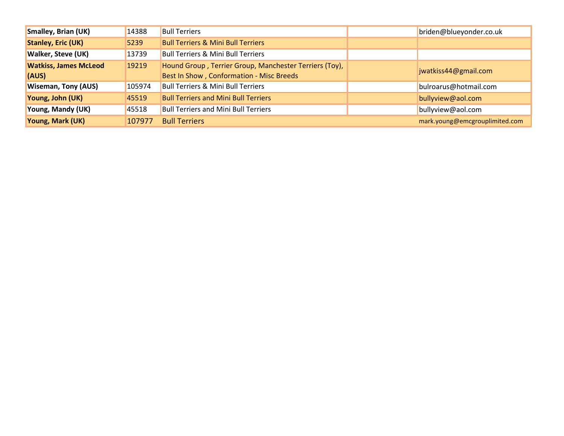| <b>Smalley, Brian (UK)</b>   | 14388  | <b>Bull Terriers</b>                                   | briden@blueyonder.co.uk        |
|------------------------------|--------|--------------------------------------------------------|--------------------------------|
| <b>Stanley, Eric (UK)</b>    | 5239   | <b>Bull Terriers &amp; Mini Bull Terriers</b>          |                                |
| <b>Walker, Steve (UK)</b>    | 13739  | <b>Bull Terriers &amp; Mini Bull Terriers</b>          |                                |
| <b>Watkiss, James McLeod</b> | 19219  | Hound Group, Terrier Group, Manchester Terriers (Toy), | jwatkiss44@gmail.com           |
| (AUS)                        |        | Best In Show, Conformation - Misc Breeds               |                                |
| <b>Wiseman, Tony (AUS)</b>   | 105974 | <b>Bull Terriers &amp; Mini Bull Terriers</b>          | bulroarus@hotmail.com          |
| Young, John (UK)             | 45519  | <b>Bull Terriers and Mini Bull Terriers</b>            | bullyview@aol.com              |
| Young, Mandy (UK)            | 45518  | <b>Bull Terriers and Mini Bull Terriers</b>            | bullyview@aol.com              |
| Young, Mark (UK)             | 107977 | <b>Bull Terriers</b>                                   | mark.young@emcgrouplimited.com |